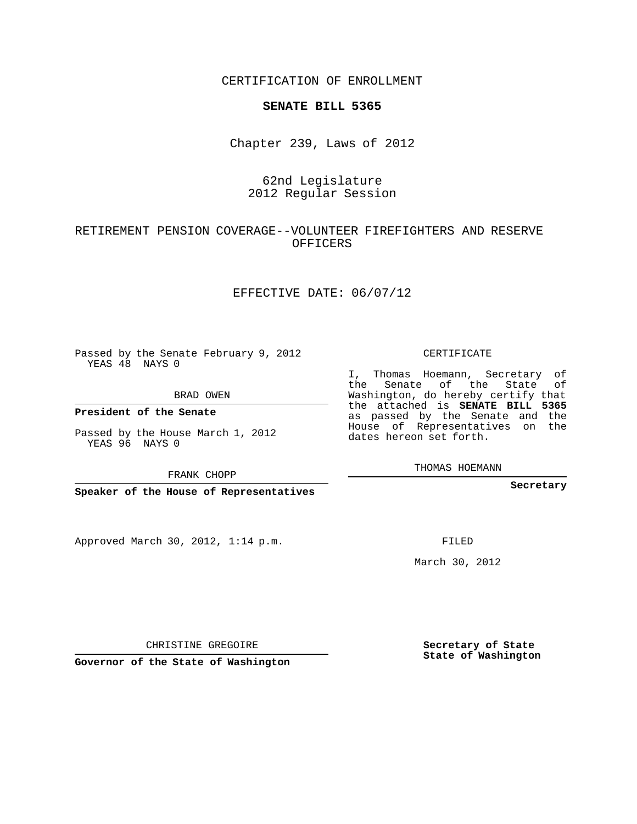CERTIFICATION OF ENROLLMENT

#### **SENATE BILL 5365**

Chapter 239, Laws of 2012

## 62nd Legislature 2012 Regular Session

### RETIREMENT PENSION COVERAGE--VOLUNTEER FIREFIGHTERS AND RESERVE OFFICERS

#### EFFECTIVE DATE: 06/07/12

Passed by the Senate February 9, 2012 YEAS 48 NAYS 0

BRAD OWEN

YEAS 96 NAYS 0

Approved March 30, 2012, 1:14 p.m.

CERTIFICATE

I, Thomas Hoemann, Secretary of the Senate of the State of Washington, do hereby certify that the attached is **SENATE BILL 5365** as passed by the Senate and the House of Representatives on the dates hereon set forth.

THOMAS HOEMANN

**Secretary**

FILED

March 30, 2012

**Secretary of State State of Washington**

CHRISTINE GREGOIRE

**Governor of the State of Washington**

**President of the Senate**

Passed by the House March 1, 2012

FRANK CHOPP

**Speaker of the House of Representatives**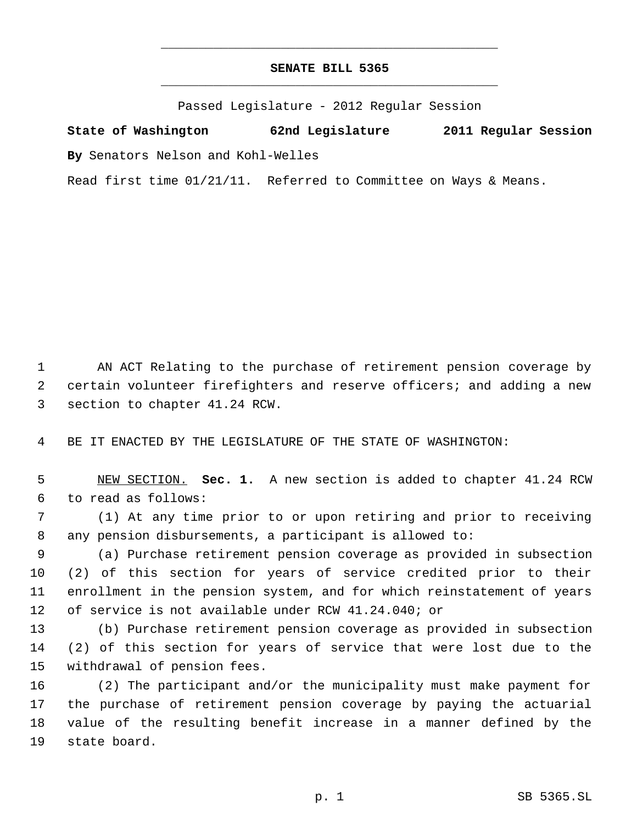# **SENATE BILL 5365** \_\_\_\_\_\_\_\_\_\_\_\_\_\_\_\_\_\_\_\_\_\_\_\_\_\_\_\_\_\_\_\_\_\_\_\_\_\_\_\_\_\_\_\_\_

\_\_\_\_\_\_\_\_\_\_\_\_\_\_\_\_\_\_\_\_\_\_\_\_\_\_\_\_\_\_\_\_\_\_\_\_\_\_\_\_\_\_\_\_\_

Passed Legislature - 2012 Regular Session

**State of Washington 62nd Legislature 2011 Regular Session By** Senators Nelson and Kohl-Welles

Read first time 01/21/11. Referred to Committee on Ways & Means.

 AN ACT Relating to the purchase of retirement pension coverage by certain volunteer firefighters and reserve officers; and adding a new section to chapter 41.24 RCW.

BE IT ENACTED BY THE LEGISLATURE OF THE STATE OF WASHINGTON:

 NEW SECTION. **Sec. 1.** A new section is added to chapter 41.24 RCW to read as follows:

 (1) At any time prior to or upon retiring and prior to receiving any pension disbursements, a participant is allowed to:

 (a) Purchase retirement pension coverage as provided in subsection (2) of this section for years of service credited prior to their enrollment in the pension system, and for which reinstatement of years of service is not available under RCW 41.24.040; or

 (b) Purchase retirement pension coverage as provided in subsection (2) of this section for years of service that were lost due to the withdrawal of pension fees.

 (2) The participant and/or the municipality must make payment for the purchase of retirement pension coverage by paying the actuarial value of the resulting benefit increase in a manner defined by the state board.